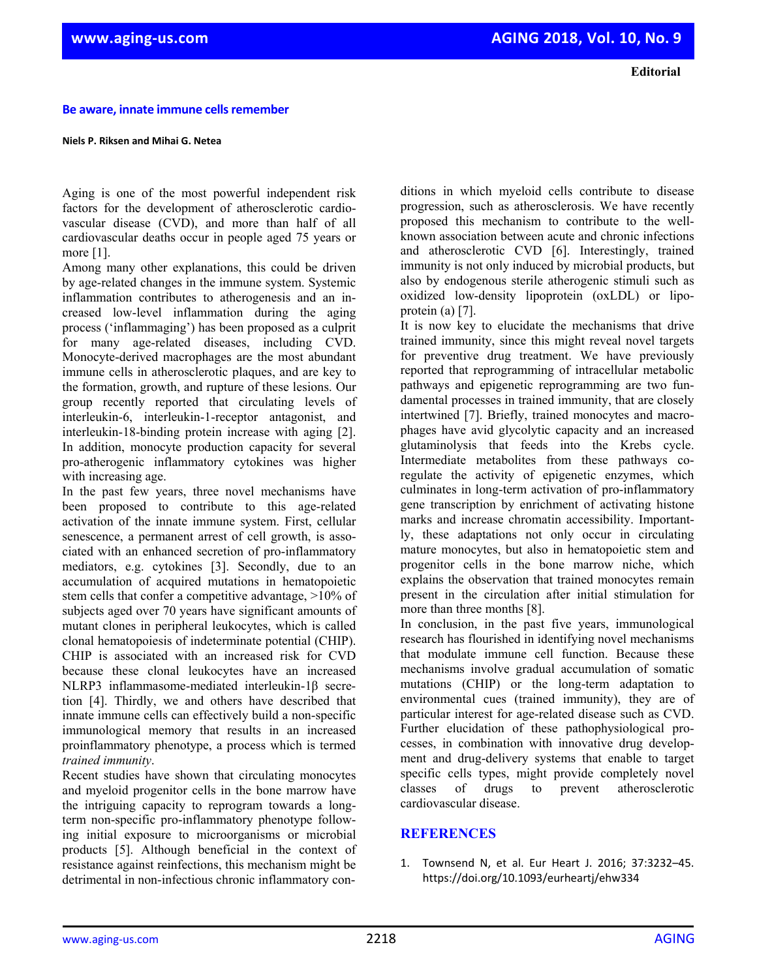**Be aware, innate immune cellsremember** 

## **Niels P. Riksen and Mihai G. Netea**

Aging is one of the most powerful independent risk factors for the development of atherosclerotic cardiovascular disease (CVD), and more than half of all cardiovascular deaths occur in people aged 75 years or more [1].

Among many other explanations, this could be driven by age-related changes in the immune system. Systemic inflammation contributes to atherogenesis and an increased low-level inflammation during the aging process ('inflammaging') has been proposed as a culprit for many age-related diseases, including CVD. Monocyte-derived macrophages are the most abundant immune cells in atherosclerotic plaques, and are key to the formation, growth, and rupture of these lesions. Our group recently reported that circulating levels of interleukin-6, interleukin-1-receptor antagonist, and interleukin-18-binding protein increase with aging [2]. In addition, monocyte production capacity for several pro-atherogenic inflammatory cytokines was higher with increasing age.

In the past few years, three novel mechanisms have been proposed to contribute to this age-related activation of the innate immune system. First, cellular senescence, a permanent arrest of cell growth, is associated with an enhanced secretion of pro-inflammatory mediators, e.g. cytokines [3]. Secondly, due to an accumulation of acquired mutations in hematopoietic stem cells that confer a competitive advantage, >10% of subjects aged over 70 years have significant amounts of mutant clones in peripheral leukocytes, which is called clonal hematopoiesis of indeterminate potential (CHIP). CHIP is associated with an increased risk for CVD because these clonal leukocytes have an increased NLRP3 inflammasome-mediated interleukin-1β secretion [4]. Thirdly, we and others have described that innate immune cells can effectively build a non-specific immunological memory that results in an increased proinflammatory phenotype, a process which is termed *trained immunity*.

Recent studies have shown that circulating monocytes and myeloid progenitor cells in the bone marrow have the intriguing capacity to reprogram towards a longterm non-specific pro-inflammatory phenotype following initial exposure to microorganisms or microbial products [5]. Although beneficial in the context of resistance against reinfections, this mechanism might be detrimental in non-infectious chronic inflammatory con-

ditions in which myeloid cells contribute to disease progression, such as atherosclerosis. We have recently proposed this mechanism to contribute to the wellknown association between acute and chronic infections and atherosclerotic CVD [6]. Interestingly, trained immunity is not only induced by microbial products, but also by endogenous sterile atherogenic stimuli such as oxidized low-density lipoprotein (oxLDL) or lipoprotein (a) [7].

It is now key to elucidate the mechanisms that drive trained immunity, since this might reveal novel targets for preventive drug treatment. We have previously reported that reprogramming of intracellular metabolic pathways and epigenetic reprogramming are two fundamental processes in trained immunity, that are closely intertwined [7]. Briefly, trained monocytes and macrophages have avid glycolytic capacity and an increased glutaminolysis that feeds into the Krebs cycle. Intermediate metabolites from these pathways coregulate the activity of epigenetic enzymes, which culminates in long-term activation of pro-inflammatory gene transcription by enrichment of activating histone marks and increase chromatin accessibility. Importantly, these adaptations not only occur in circulating mature monocytes, but also in hematopoietic stem and progenitor cells in the bone marrow niche, which explains the observation that trained monocytes remain present in the circulation after initial stimulation for more than three months [8].

In conclusion, in the past five years, immunological research has flourished in identifying novel mechanisms that modulate immune cell function. Because these mechanisms involve gradual accumulation of somatic mutations (CHIP) or the long-term adaptation to environmental cues (trained immunity), they are of particular interest for age-related disease such as CVD. Further elucidation of these pathophysiological processes, in combination with innovative drug development and drug-delivery systems that enable to target specific cells types, might provide completely novel classes of drugs to prevent atherosclerotic cardiovascular disease.

## **REFERENCES**

1. Townsend N, et al. Eur Heart J. 2016; 37:3232–45. https://doi.org/10.1093/eurheartj/ehw334